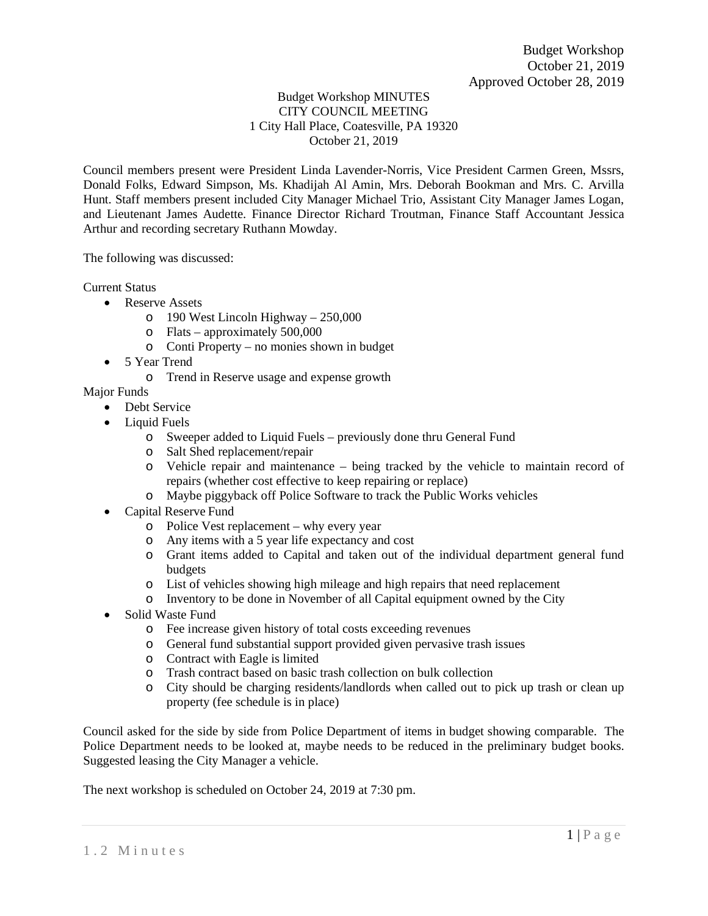## Budget Workshop MINUTES CITY COUNCIL MEETING 1 City Hall Place, Coatesville, PA 19320 October 21, 2019

Council members present were President Linda Lavender-Norris, Vice President Carmen Green, Mssrs, Donald Folks, Edward Simpson, Ms. Khadijah Al Amin, Mrs. Deborah Bookman and Mrs. C. Arvilla Hunt. Staff members present included City Manager Michael Trio, Assistant City Manager James Logan, and Lieutenant James Audette. Finance Director Richard Troutman, Finance Staff Accountant Jessica Arthur and recording secretary Ruthann Mowday.

The following was discussed:

Current Status

- Reserve Assets
	- o 190 West Lincoln Highway 250,000
	- o Flats approximately 500,000
	- o Conti Property no monies shown in budget
- 5 Year Trend
	- o Trend in Reserve usage and expense growth

Major Funds

- Debt Service
- Liquid Fuels
	- o Sweeper added to Liquid Fuels previously done thru General Fund
	- o Salt Shed replacement/repair
	- o Vehicle repair and maintenance being tracked by the vehicle to maintain record of repairs (whether cost effective to keep repairing or replace)
	- o Maybe piggyback off Police Software to track the Public Works vehicles
- Capital Reserve Fund
	- o Police Vest replacement why every year
	- o Any items with a 5 year life expectancy and cost
	- o Grant items added to Capital and taken out of the individual department general fund budgets
	- o List of vehicles showing high mileage and high repairs that need replacement
	- o Inventory to be done in November of all Capital equipment owned by the City
- Solid Waste Fund
	- o Fee increase given history of total costs exceeding revenues
	- o General fund substantial support provided given pervasive trash issues
	- o Contract with Eagle is limited
	- o Trash contract based on basic trash collection on bulk collection
	- o City should be charging residents/landlords when called out to pick up trash or clean up property (fee schedule is in place)

Council asked for the side by side from Police Department of items in budget showing comparable. The Police Department needs to be looked at, maybe needs to be reduced in the preliminary budget books. Suggested leasing the City Manager a vehicle.

The next workshop is scheduled on October 24, 2019 at 7:30 pm.